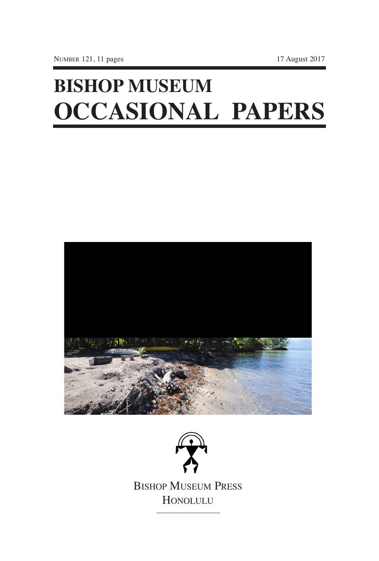# **BISHOP MUSEUM OCCASIONAL PAPERS**

NUMBER 121, 11 pages 17 August 2017



BISHOP MUSEUM PRESS HONOLULU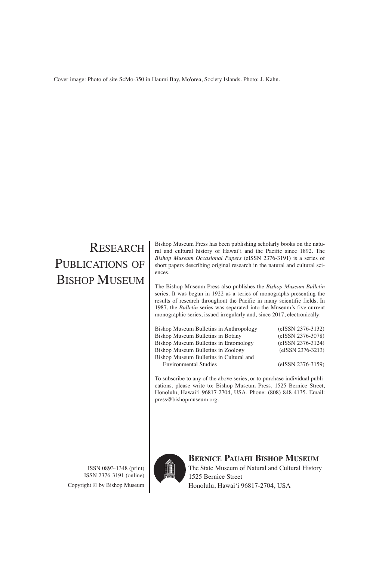Cover image: Photo of site ScMo-350 in Haumi Bay, Mo'orea, Society Islands. Photo: J. Kahn.

## RESEARCH PUBLICATIONS OF BISHOP MUSEUM

ISSN 0893-1348 (print) ISSN 2376-3191 (online) Copyright © by Bishop Museum Bishop Museum Press has been publishing scholarly books on the natural and cultural history of Hawai'i and the Pacific since 1892. The *Bishop Museum Occasional Papers* (eISSN 2376-3191) is a series of short papers describing original research in the natural and cultural sciences.

The Bishop Museum Press also publishes the *Bishop Museum Bulletin* series. It was begun in 1922 as a series of monographs presenting the results of research throughout the Pacific in many scientific fields. In 1987, the *Bulletin* series was separated into the Museum's five current monographic series, issued irregularly and, since 2017, electronically:

| Bishop Museum Bulletins in Anthropology | (eISSN 2376-3132) |
|-----------------------------------------|-------------------|
| Bishop Museum Bulletins in Botany       | (eISSN 2376-3078) |
| Bishop Museum Bulletins in Entomology   | (eISSN 2376-3124) |
| Bishop Museum Bulletins in Zoology      | (eISSN 2376-3213) |
| Bishop Museum Bulletins in Cultural and |                   |
| <b>Environmental Studies</b>            | (eISSN 2376-3159) |
|                                         |                   |

To subscribe to any of the above series, or to purchase individual publications, please write to: Bishop Museum Press, 1525 Bernice Street, Honolulu, Hawai'i 96817-2704, USA. Phone: (808) 848-4135. Email: press@bishopmuseum.org.



**BERNICE PAUAHI BISHOP MUSEUM** The State Museum of Natural and Cultural History 1525 Bernice Street Honolulu, Hawai'i 96817-2704, USA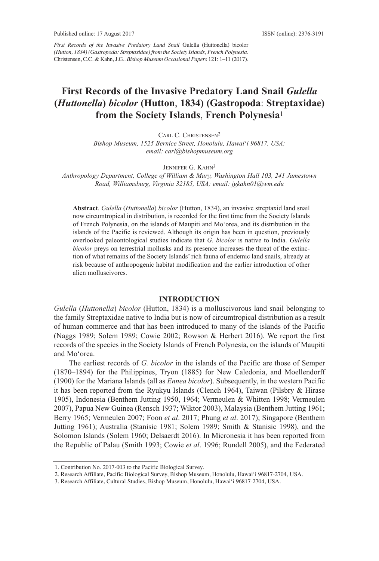*First Records of the Invasive Predatory Land Snail* Gulella (Huttonella) bicolor *(Hutton, 1834) (Gastropoda: Streptaxidae) from the Society Islands, French Polynesia*. Christensen, C.C. & Kahn,J.G.*. Bishop Museum Occasional Papers* 121: 1–11 (2017).

### **First Records of the Invasive Predatory Land Snail** *Gulella* **(***Huttonella***)** *bicolor* **(Hutton**, **1834) (Gastropoda**: **Streptaxidae) from the Society Islands**, **French Polynesia**<sup>1</sup>

CARL C. CHRISTENSEN<sup>2</sup>

*Bishop Museum, 1525 Bernice Street, Honolulu, Hawai*'*i 96817, USA; email: carl@bishopmuseum.org*

JENNIFER G. KAHN<sup>3</sup>

*Anthropology Department, College of William & Mary, Washington Hall 103, 241 Jamestown Road, Williamsburg, Virginia 32185, USA; email: jgkahn01@wm.edu*

**Abstract**. *Gulella* (*Huttonella*) *bicolor* (hutton, 1834), an invasive streptaxid land snail now circumtropical in distribution, is recorded for the first time from the Society Islands of french Polynesia, on the islands of Maupiti and Mo'orea, and its distribution in the islands of the Pacific is reviewed. Although its origin has been in question, previously overlooked paleontological studies indicate that *G. bicolor* is native to India. *Gulella bicolor* preys on terrestrial mollusks and its presence increases the threat of the extinction of what remains of the Society Islands' rich fauna of endemic land snails, already at risk because of anthropogenic habitat modification and the earlier introduction of other alien molluscivores.

#### **INTRODUCTION**

*Gulella* (*Huttonella*) *bicolor* (hutton, 1834) is a molluscivorous land snail belonging to the family Streptaxidae native to India but is now of circumtropical distribution as a result of human commerce and that has been introduced to many of the islands of the Pacific (Naggs 1989; Solem 1989; Cowie 2002; Rowson & Herbert 2016). We report the first records of the species in the Society Islands of french Polynesia, on the islands of Maupiti and Mo'orea.

the earliest records of *G. bicolor* in the islands of the Pacific are those of Semper (1870–1894) for the Philippines, tryon (1885) for New Caledonia, and Moellendorff (1900) for the Mariana Islands (all as *Ennea bicolor*). Subsequently, in the western Pacific it has been reported from the Ryukyu Islands (Clench 1964), Taiwan (Pilsbry  $&$  Hirase 1905), Indonesia (Benthem Jutting 1950, 1964; Vermeulen & Whitten 1998; Vermeulen 2007), Papua New Guinea (Rensch 1937; Wiktor 2003), Malaysia (Benthem Jutting 1961; Berry 1965; Vermeulen 2007; foon *et al*. 2017; Phung *et al*. 2017); Singapore (Benthem Jutting 1961); Australia (Stanisic 1981; Solem 1989; Smith & Stanisic 1998), and the Solomon Islands (Solem 1960; Delsaerdt 2016). In Micronesia it has been reported from the Republic of Palau (Smith 1993; Cowie *et al.* 1996; Rundell 2005), and the Federated

<sup>1.</sup> Contribution No. 2017-003 to the Pacific Biological Survey.

<sup>2.</sup> Research Affiliate, Pacific Biological Survey, Bishop Museum, Honolulu, Hawai'i 96817-2704, USA.

<sup>3.</sup> Research Affiliate, Cultural Studies, Bishop Museum, Honolulu, Hawai'i 96817-2704, USA.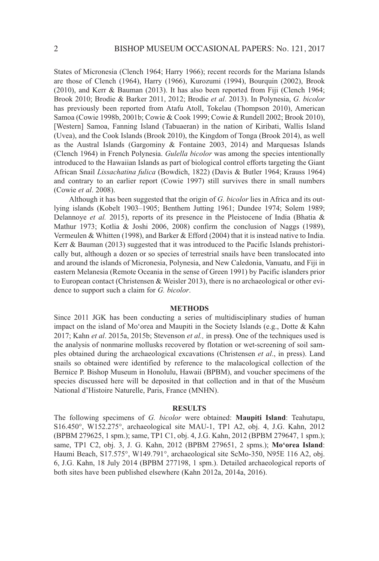States of Micronesia (Clench 1964; harry 1966); recent records for the Mariana Islands are those of Clench (1964), harry (1966), Kurozumi (1994), Bourquin (2002), Brook (2010), and Kerr & Bauman (2013). It has also been reported from fiji (Clench 1964; Brook 2010; Brodie & Barker 2011, 2012; Brodie *et al*. 2013). In Polynesia, *G. bicolor* has previously been reported from Atafu Atoll, Tokelau (Thompson 2010), American Samoa (Cowie 1998b, 2001b; Cowie & Cook 1999; Cowie & Rundell 2002; Brook 2010), [Western] Samoa, Fanning Island (Tabuaeran) in the nation of Kiribati, Wallis Island (Uvea), and the Cook Islands (Brook 2010), the Kingdom of tonga (Brook 2014), as well as the Austral Islands (Gargominy & fontaine 2003, 2014) and Marquesas Islands (Clench 1964) in french Polynesia. *Gulella bicolor* was among the species intentionally introduced to the hawaiian Islands as part of biological control efforts targeting the Giant African Snail *Lissachatina fulica* (Bowdich, 1822) (Davis & Butler 1964; Krauss 1964) and contrary to an earlier report (Cowie 1997) still survives there in small numbers (Cowie *et al*. 2008).

 Although it has been suggested that the origin of *G. bicolor* lies in Africa and its outlying islands (Kobelt 1903–1905; Benthem Jutting 1961; Dundee 1974; Solem 1989; Delannoye *et al.* 2015), reports of its presence in the Pleistocene of India (Bhatia & Mathur 1973; Kotlia & Joshi 2006, 2008) confirm the conclusion of Naggs (1989), Vermeulen & Whitten (1998), and Barker & Efford (2004) that it is instead native to India. Kerr & Bauman (2013) suggested that it was introduced to the Pacific Islands prehistorically but, although a dozen or so species of terrestrial snails have been translocated into and around the islands of Micronesia, Polynesia, and New Caledonia, Vanuatu, and fiji in eastern Melanesia (Remote Oceania in the sense of Green 1991) by Pacific islanders prior to European contact (Christensen & Weisler 2013), there is no archaeological or other evidence to support such a claim for *G. bicolor*.

#### **METHODS**

Since 2011 JGK has been conducting a series of multidisciplinary studies of human impact on the island of Mo'orea and Maupiti in the Society Islands (e.g., Dotte  $\&$  Kahn 2017; Kahn *et al*. 2015a, 2015b; Stevenson *et al.,* in press**)**. One of the techniques used is the analysis of nonmarine mollusks recovered by flotation or wet-screening of soil samples obtained during the archaeological excavations (Christensen *et al*., in press). land snails so obtained were identified by reference to the malacological collection of the Bernice P. Bishop Museum in honolulu, hawaii (BPBM), and voucher specimens of the species discussed here will be deposited in that collection and in that of the Muséum National d'Histoire Naturelle, Paris, France (MNHN).

#### **RESULTS**

the following specimens of *G. bicolor* were obtained: **Maupiti Island**: teahutapu, S16.450°, W152.275°, archaeological site MAU-1, tP1 A2, obj. 4, J.G. Kahn, 2012 (BPBM 279625, 1 spm.); same, tP1 C1, obj. 4, J.G. Kahn, 2012 (BPBM 279647, 1 spm.); same, tP1 C2, obj. 3, J. G. Kahn, 2012 (BPBM 279651, 2 spms.); **Mo'orea Island**: haumi Beach, S17.575°, W149.791°, archaeological site ScMo-350, N95e 116 A2, obj. 6, J.G. Kahn, 18 July 2014 (BPBM 277198, 1 spm.). Detailed archaeological reports of both sites have been published elsewhere (Kahn 2012a, 2014a, 2016).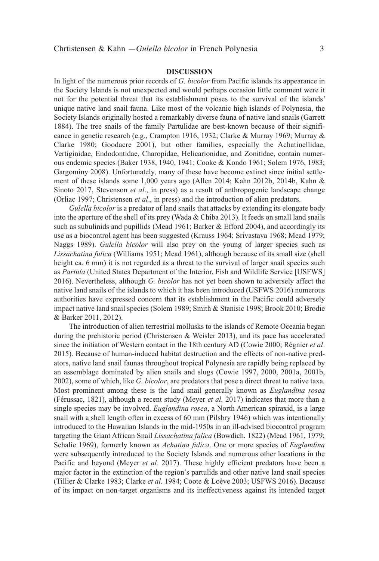#### **DISCUSSION**

In light of the numerous prior records of *G. bicolor* from Pacific islands its appearance in the Society Islands is not unexpected and would perhaps occasion little comment were it not for the potential threat that its establishment poses to the survival of the islands' unique native land snail fauna. like most of the volcanic high islands of Polynesia, the Society Islands originally hosted a remarkably diverse fauna of native land snails (Garrett 1884). The tree snails of the family Partulidae are best-known because of their significance in genetic research (e.g., Crampton 1916, 1932; Clarke & Murray 1969; Murray & Clarke 1980; Goodacre 2001), but other families, especially the Achatinellidae, Vertiginidae, endodontidae, Charopidae, helicarionidae, and Zonitidae, contain numerous endemic species (Baker 1938, 1940, 1941; Cooke & Kondo 1961; Solem 1976, 1983; Gargominy 2008). Unfortunately, many of these have become extinct since initial settlement of these islands some 1,000 years ago (Allen 2014; Kahn 2012b, 2014b, Kahn & Sinoto 2017, Stevenson *et al*., in press) as a result of anthropogenic landscape change (Orliac 1997; Christensen *et al*., in press) and the introduction of alien predators.

 *Gulella bicolor* is a predator of land snails that attacks by extending its elongate body into the aperture of the shell of its prey (Wada & Chiba 2013). It feeds on small land snails such as subulinids and pupillids (Mead 1961; Barker & Efford 2004), and accordingly its use as a biocontrol agent has been suggested (Krauss 1964; Srivastava 1968; Mead 1979; Naggs 1989). *Gulella bicolor* will also prey on the young of larger species such as *Lissachatina fulica* (Williams 1951; Mead 1961), although because of its small size (shell height ca. 6 mm) it is not regarded as a threat to the survival of larger snail species such as *Partula* (United States Department of the Interior, fish and Wildlife Service [USfWS] 2016). Nevertheless, although *G. bicolor* has not yet been shown to adversely affect the native land snails of the islands to which it has been introduced (USfWS 2016) numerous authorities have expressed concern that its establishment in the Pacific could adversely impact native land snail species (Solem 1989; Smith & Stanisic 1998; Brook 2010; Brodie & Barker 2011, 2012).

The introduction of alien terrestrial mollusks to the islands of Remote Oceania began during the prehistoric period (Christensen & Weisler 2013), and its pace has accelerated since the initiation of Western contact in the 18th century AD (Cowie 2000; Régnier *et al.*) 2015). Because of human-induced habitat destruction and the effects of non-native predators, native land snail faunas throughout tropical Polynesia are rapidly being replaced by an assemblage dominated by alien snails and slugs (Cowie 1997, 2000, 2001a, 2001b, 2002), some of which, like *G. bicolor*, are predators that pose a direct threat to native taxa. Most prominent among these is the land snail generally known as *Euglandina rosea* (férussac, 1821), although a recent study (Meyer *et al.* 2017) indicates that more than a single species may be involved. *Euglandina rosea*, a North American spiraxid, is a large snail with a shell length often in excess of 60 mm (Pilsbry 1946) which was intentionally introduced to the hawaiian Islands in the mid-1950s in an ill-advised biocontrol program targeting the Giant African Snail *Lissachatina fulica* (Bowdich, 1822) (Mead 1961, 1979; Schalie 1969), formerly known as *Achatina fulica*. One or more species of *Euglandina* were subsequently introduced to the Society Islands and numerous other locations in the Pacific and beyond (Meyer *et al.* 2017). these highly efficient predators have been a major factor in the extinction of the region's partulids and other native land snail species (tillier & Clarke 1983; Clarke *et al*. 1984; Coote & loève 2003; USfWS 2016). Because of its impact on non-target organisms and its ineffectiveness against its intended target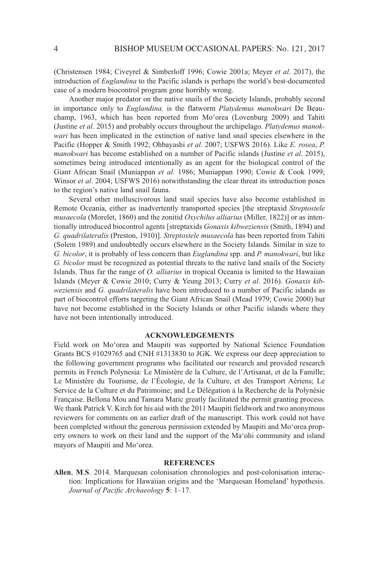(Christensen 1984; Civeyrel & Simberloff 1996; Cowie 2001a; Meyer *et al*. 2017), the introduction of *Euglandina* to the Pacific islands is perhaps the world's best-documented case of a modern biocontrol program gone horribly wrong.

 Another major predator on the native snails of the Society Islands, probably second in importance only to *Euglandina,* is the flatworm *Platydemus manokwari* De Beauchamp, 1963, which has been reported from Mo'orea (lovenburg 2009) and tahiti (Justine *et al*. 2015) and probably occurs throughout the archipelago. *Platydemus manokwari* has been implicated in the extinction of native land snail species elsewhere in the Pacific (hopper & Smith 1992; Ohbayashi *et al.* 2007; USfWS 2016). like *E. rosea*, *P. manokwari* has become established on a number of Pacific islands (Justine *et al*. 2015), sometimes being introduced intentionally as an agent for the biological control of the Giant African Snail (Muniappan *et al.* 1986; Muniappan 1990; Cowie & Cook 1999; Winsor *et al*. 2004; USfWS 2016) notwithstanding the clear threat its introduction poses to the region's native land snail fauna.

 Several other molluscivorous land snail species have also become established in Remote Oceania, either as inadvertently transported species [the streptaxid *Streptostele musaecola* (Morelet, 1860) and the zonitid *Oxychilus alliarius* (Miller, 1822)] or as intentionally introduced biocontrol agents [streptaxids *Gonaxis kibweziensis* (Smith, 1894) and *G. quadrilateralis* (Preston, 1910)]. *Streptostele musaecola* has been reported from tahiti (Solem 1989) and undoubtedly occurs elsewhere in the Society Islands. Similar in size to *G. bicolor*, it is probably of less concern than *Euglandina* spp. and *P. manokwari*, but like *G. bicolor* must be recognized as potential threats to the native land snails of the Society Islands. thus far the range of *O. alliarius* in tropical Oceania is limited to the hawaiian Islands (Meyer & Cowie 2010; Curry & Yeung 2013; Curry *et al*. 2016). *Gonaxis kibweziensis* and *G. quadrilateralis* have been introduced to a number of Pacific islands as part of biocontrol efforts targeting the Giant African Snail (Mead 1979; Cowie 2000) but have not become established in the Society Islands or other Pacific islands where they have not been intentionally introduced.

#### **ACKNOWLEDGEMENTS**

field work on Mo'orea and Maupiti was supported by National Science foundation Grants BCS #1029765 and CNH #1313830 to JGK. We express our deep appreciation to the following government programs who facilitated our research and provided research permits in french Polynesia: le Ministère de la Culture, de l'Artisanat, et de la famille; Le Ministère du Tourisme, de l'Écologie, de la Culture, et des Transport Aériens; Le Service de la Culture et du Patrimoine; and Le Délégation á la Recherche de la Polynésie française. Bellona Mou and tamara Maric greatly facilitated the permit granting process. We thank Patrick V. Kirch for his aid with the 2011 Maupiti fieldwork and two anonymous reviewers for comments on an earlier draft of the manuscript. This work could not have been completed without the generous permission extended by Maupiti and Mo'orea property owners to work on their land and the support of the Ma'ohi community and island mayors of Maupiti and Mo'orea.

#### **REFERENCES**

**Allen**, **M**.**S**. 2014. Marquesan colonisation chronologies and post-colonisation interaction: Implications for hawaiian origins and the 'Marquesan homeland' hypothesis. *Journal of Pacific Archaeology* **5**: 1–17.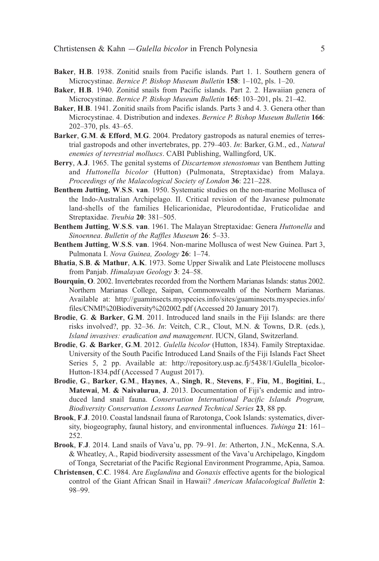- **Baker**, **H**.**B**. 1938. Zonitid snails from Pacific islands. Part 1. 1. Southern genera of Microcystinae. *Bernice P. Bishop Museum Bulletin* **158**: 1–102, pls. 1–20.
- Baker, H.B. 1940. Zonitid snails from Pacific islands. Part 2. 2. Hawaiian genera of Microcystinae. *Bernice P. Bishop Museum Bulletin* **165**: 103–201, pls. 21–42.
- **Baker**, **H**.**B**. 1941. Zonitid snails from Pacific islands. Parts 3 and 4. 3. Genera other than Microcystinae. 4. Distribution and indexes. *Bernice P. Bishop Museum Bulletin* **166**: 202–370, pls. 43–65.
- **Barker**, **G**.**M**. **& Efford**, **M**.**G**. 2004. Predatory gastropods as natural enemies of terrestrial gastropods and other invertebrates, pp. 279–403. *In*: Barker, G.M., ed., *Natural enemies of terrestrial molluscs*. CABI Publishing, Wallingford, UK.
- **Berry**, **A**.**J**. 1965. the genital systems of *Discartemon stenostomus* van Benthem Jutting and *Huttonella bicolor* (Hutton) (Pulmonata, Streptaxidae) from Malaya. *Proceedings of the Malacological Society of London* **36**: 221–228.
- **Benthem Jutting**, **W**.**S**.**S**. **van**. 1950. Systematic studies on the non-marine Mollusca of the Indo-Australian Archipelago. II. Critical revision of the Javanese pulmonate land-shells of the families Helicarionidae, Pleurodontidae, Fruticolidae and Streptaxidae. *Treubia* **20**: 381–505.
- **Benthem Jutting**, **W**.**S**.**S**. **van**. 1961. the Malayan Streptaxidae: Genera *Huttonella* and *Sinoennea*. *Bulletin of the Raffles Museum* **26**: 5–33.
- **Benthem Jutting**, **W**.**S**.**S**. **van**. 1964. Non-marine Mollusca of west New Guinea. Part 3, Pulmonata I. *Nova Guinea, Zoology* **26**: 1–74.
- **Bhatia**, **S**.**B**. **& Mathur**, **A**.**K**. 1973. Some Upper Siwalik and late Pleistocene molluscs from Panjab. *Himalayan Geology* **3**: 24–58.
- **Bourquin**, **O**. 2002. Invertebrates recorded from the Northern Marianas Islands: status 2002. Northern Marianas College, Saipan, Commonwealth of the Northern Marianas. Available at: http://guaminsects.myspecies.info/sites/guaminsects.myspecies.info/ files/CNMI%20Biodiversity%202002.pdf (Accessed 20 January 2017).
- **Brodie**, **G**. **& Barker**, **G**.**M**. 2011. Introduced land snails in the fiji Islands: are there risks involved?, pp.  $32-36$ . *In*: Veitch, C.R., Clout, M.N. & Towns, D.R. (eds.), *Island invasives: eradication and management*. IUCN, Gland, Switzerland.
- **Brodie**, **G**. **& Barker**, **G**.**M**. 2012. *Gulella bicolor* (hutton, 1834). family Streptaxidae. University of the South Pacific Introduced land Snails of the fiji Islands fact Sheet Series 5, 2 pp. Available at: http://repository.usp.ac.fj/5438/1/Gulella bicolorhutton-1834.pdf (Accessed 7 August 2017).
- **Brodie**, **G**., **Barker**, **G**.**M**., **Haynes**, **A**., **Singh**, **R**., **Stevens**, **F**., **Fiu**, **M**., **Bogitini**, **L**., **Matewai**, **M**. **& Naivalurua**, **J**. 2013. Documentation of fiji's endemic and introduced land snail fauna. *Conservation International Pacific Islands Program, Biodiversity Conservation Lessons Learned Technical Series* **23**, 88 pp.
- **Brook, F.J.** 2010. Coastal landsnail fauna of Rarotonga, Cook Islands: systematics, diversity, biogeography, faunal history, and environmental influences. *Tuhinga* **21**: 161– 252.
- **Brook**, **F**.**J**. 2014. land snails of Vava'u, pp. 79–91. *In*: Atherton, J.N., McKenna, S.A. & Wheatley, A., Rapid biodiversity assessment of the Vava'u Archipelago, Kingdom of tonga*¸* Secretariat of the Pacific regional environment Programme, Apia, Samoa.
- **Christensen**, **C**.**C**. 1984. Are *Euglandina* and *Gonaxis* effective agents for the biological control of the Giant African Snail in hawaii? *American Malacological Bulletin* **2**: 98–99.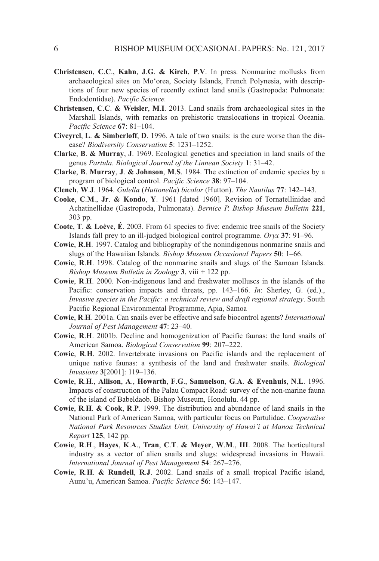- **Christensen**, **C**.**C**., **Kahn**, **J**.**G**. **& Kirch**, **P**.**V**. In press. Nonmarine mollusks from archaeological sites on Mo'orea, Society Islands, french Polynesia, with descriptions of four new species of recently extinct land snails (Gastropoda: Pulmonata: Endodontidae). Pacific Science.
- **Christensen**, **C**.**C**. **& Weisler**, **M**.**I**. 2013. land snails from archaeological sites in the Marshall Islands, with remarks on prehistoric translocations in tropical Oceania. *Pacific Science* **67**: 81–104.
- **Civeyrel**, **L**. **& Simberloff**, **D**. 1996. A tale of two snails: is the cure worse than the disease? *Biodiversity Conservation* **5**: 1231–1252.
- **Clarke**, **B**. **& Murray**, **J**. 1969. ecological genetics and speciation in land snails of the genus *Partula*. *Biological Journal of the Linnean Society* **1**: 31–42.
- **Clarke**, **B**. **Murray**, **J**. **& Johnson**, **M**.**S**. 1984. the extinction of endemic species by a program of biological control. *Pacific Science* **38**: 97–104.
- **Clench**, **W**.**J**. 1964. *Gulella* (*Huttonella*) *bicolor* (hutton). *The Nautilus* **77**: 142–143.
- **Cooke**, **C**.**M**., **Jr**. **& Kondo**, **Y**. 1961 [dated 1960]. revision of tornatellinidae and Achatinellidae (Gastropoda, Pulmonata). *Bernice P. Bishop Museum Bulletin* **221**, 303 pp.
- **Coote**, **T**. **& Loève**, **É**. 2003. from 61 species to five: endemic tree snails of the Society Islands fall prey to an ill-judged biological control programme. *Oryx* **37**: 91–96.
- **Cowie**, **R**.**H**. 1997. Catalog and bibliography of the nonindigenous nonmarine snails and slugs of the hawaiian Islands. *Bishop Museum Occasional Papers* **50**: 1–66.
- **Cowie**, **R**.**H**. 1998. Catalog of the nonmarine snails and slugs of the Samoan Islands. *Bishop Museum Bulletin in Zoology* **3**, viii + 122 pp.
- **Cowie**, **R**.**H**. 2000. Non-indigenous land and freshwater molluscs in the islands of the Pacific: conservation impacts and threats, pp. 143–166. *In*: Sherley, G. (ed.)., *Invasive species in the Pacific: a technical review and draft regional strategy*. South Pacific Regional Environmental Programme, Apia, Samoa
- **Cowie**, **R**.**H**. 2001a. Can snails ever be effective and safe biocontrol agents? *International Journal of Pest Management* **47**: 23–40.
- **Cowie**, **R**.**H**. 2001b. Decline and homogenization of Pacific faunas: the land snails of American Samoa. *Biological Conservation* **99**: 207–222.
- **Cowie**, **R**.**H**. 2002. Invertebrate invasions on Pacific islands and the replacement of unique native faunas: a synthesis of the land and freshwater snails. *Biological Invasions* **3**[2001]: 119–136.
- **Cowie**, **R**.**H**., **Allison**, **A**., **Howarth**, **F**.**G**., **Samuelson**, **G**.**A**. **& Evenhuis**, **N**.**L**. 1996. Impacts of construction of the Palau Compact Road: survey of the non-marine fauna of the island of Babeldaob. Bishop Museum, Honolulu. 44 pp.
- **Cowie**, **R**.**H**. **& Cook**, **R**.**P**. 1999. the distribution and abundance of land snails in the National Park of American Samoa, with particular focus on Partulidae. *Cooperative National Park Resources Studies Unit, University of Hawai'i at Manoa Technical Report* **125**, 142 pp.
- **Cowie**, **R**.**H**., **Hayes**, **K**.**A**., **Tran**, **C**.**T**. **& Meyer**, **W**.**M**., **III**. 2008. the horticultural industry as a vector of alien snails and slugs: widespread invasions in hawaii. *International Journal of Pest Management* **54**: 267–276.
- **Cowie**, **R**.**H**. **& Rundell**, **R**.**J**. 2002. land snails of a small tropical Pacific island, Aunu'u, American Samoa. *Pacific Science* **56**: 143–147.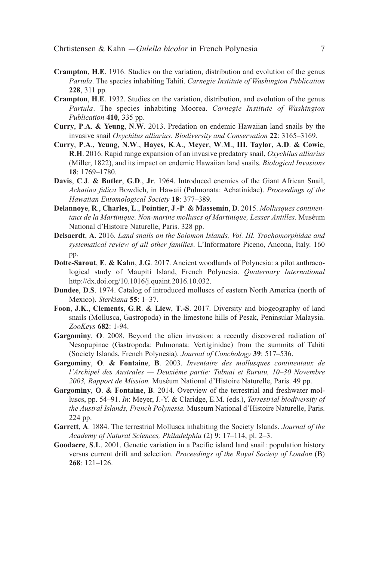- **Crampton**, **H**.**E**. 1916. Studies on the variation, distribution and evolution of the genus *Partula*. the species inhabiting tahiti. *Carnegie Institute of Washington Publication* **228**, 311 pp.
- **Crampton**, **H**.**E**. 1932. Studies on the variation, distribution, and evolution of the genus *Partula*. the species inhabiting Moorea. *Carnegie Institute of Washington Publication* **410**, 335 pp.
- **Curry**, **P**.**A**. **& Yeung**, **N**.**W**. 2013. Predation on endemic hawaiian land snails by the invasive snail *Oxychilus alliarius*. *Biodiversity and Conservation* **22**: 3165–3169.
- **Curry**, **P**.**A**., **Yeung**, **N**.**W**., **Hayes**, **K**.**A**., **Meyer**, **W**.**M**., **III**, **Taylor**, **A**.**D**. **& Cowie**, **R**.**H**. 2016. rapid range expansion of an invasive predatory snail, *Oxychilus alliarius* (Miller, 1822), and its impact on endemic hawaiian land snails. *Biological Invasions* **18**: 1769–1780.
- **Davis**, **C**.**J**. **& Butler**, **G**.**D**., **Jr**. 1964. Introduced enemies of the Giant African Snail, *Achatina fulica* Bowdich, in hawaii (Pulmonata: Achatinidae). *Proceedings of the Hawaiian Entomological Society* **18**: 377–389.
- **Delannoye**, **R**., **Charles**, **L**., **Pointier**, **J**.**-P**. **& Massemin**, **D**. 2015. *Mollusques continentaux de la Martinique. Non-marine molluscs of Martinique, Lesser Antilles*. Muséum National d'histoire Naturelle, Paris. 328 pp.
- **Delsaerdt**, **A**. 2016. *Land snails on the Solomon Islands, Vol. III. Trochomorphidae and systematical review of all other families*. l'Informatore Piceno, Ancona, Italy. 160 pp.
- **Dotte-Sarout**, **E**. **& Kahn**, **J**.**G**. 2017. Ancient woodlands of Polynesia: a pilot anthracological study of Maupiti Island, french Polynesia. *Quaternary International* http://dx.doi.org/10.1016/j.quaint.2016.10.032.
- **Dundee**, **D**.**S**. 1974. Catalog of introduced molluscs of eastern North America (north of Mexico). *Sterkiana* **55**: 1–37.
- **Foon**, **J**.**K**., **Clements**, **G**.**R**. **& Liew**, **T**.**-S**. 2017. Diversity and biogeography of land snails (Mollusca, Gastropoda) in the limestone hills of Pesak, Peninsular Malaysia. *ZooKeys* **682**: 1-94.
- **Gargominy**, **O**. 2008. Beyond the alien invasion: a recently discovered radiation of Nesopupinae (Gastropoda: Pulmonata: Vertiginidae) from the summits of Tahiti (Society Islands, french Polynesia). *Journal of Conchology* **39**: 517–536.
- **Gargominy**, **O**. **& Fontaine**, **B**. 2003. *Inventaire des mollusques continentaux de l'Archipel des Australes — Deuxième partie: Tubuai et Rurutu, 10–30 Novembre 2003, Rapport de Mission.* Muséum National d'histoire Naturelle, Paris. 49 pp.
- **Gargominy**, **O**. **& Fontaine**, **B**. 2014. Overview of the terrestrial and freshwater molluscs, pp. 54–91. *In*: Meyer, J.-Y. & Claridge, e.M. (eds.), *Terrestrial biodiversity of the Austral Islands, French Polynesia.* Museum National d'histoire Naturelle, Paris. 224 pp.
- **Garrett**, **A**. 1884. the terrestrial Mollusca inhabiting the Society Islands. *Journal of the Academy of Natural Sciences, Philadelphia* (2) **9**: 17–114, pl. 2–3.
- **Goodacre**, **S**.**L**. 2001. Genetic variation in a Pacific island land snail: population history versus current drift and selection. *Proceedings of the Royal Society of London* (B) **268**: 121–126.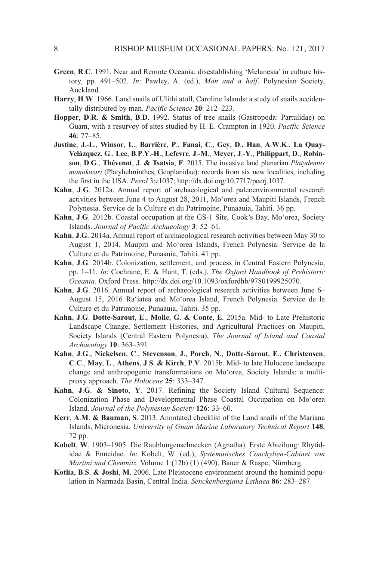- **Green, R.C.** 1991. Near and Remote Oceania: disestablishing 'Melanesia' in culture history, pp. 491–502. *In*: Pawley, A. (ed.), *Man and a half*. Polynesian Society, Auckland.
- **Harry**, **H**.**W**. 1966. land snails of Ulithi atoll, Caroline Islands: a study of snails accidentally distributed by man. *Pacific Science* **20**: 212–223.
- **Hopper**, **D**.**R**. **& Smith**, **B**.**D**. 1992. Status of tree snails (Gastropoda: Partulidae) on Guam, with a resurvey of sites studied by h. e. Crampton in 1920. *Pacific Science* **46**: 77–85.
- **Justine**, **J**.**-L**., **Winsor**, **L**., **Barrière**, **P**., **Fanai**, **C**., **Gey**, **D**., **Han**, **A**.**W**.**K**., **La Quay-Velázquez**, **G**., **Lee**, **B**.**P**.**Y**.**-H**., **Lefevre**, **J**.**-M**., **Meyer**, **J**.**-Y**., **Philippart**, **D**., **Robinson**, **D**.**G**., **Thévenot**, **J**. **& Tsatsia**, **F**. 2015. the invasive land planarian *Platydemus manokwari* (Platyhelminthes, Geoplanidae): records from six new localities, including the first in the USA. *PeerJ* 3:e1037; http://dx.doi.org/10.7717/peerj.1037.
- **Kahn**, **J**.**G**. 2012a. Annual report of archaeological and paleoenvironmental research activities between June 4 to August 28, 2011, Mo'orea and Maupiti Islands, french Polynesia. Service de la Culture et du Patrimoine, Punaauia, Tahiti. 36 pp.
- **Kahn**, **J**.**G**. 2012b. Coastal occupation at the GS-1 Site, Cook's Bay, Mo'orea, Society Islands. *Journal of Pacific Archaeology* **3**: 52–61.
- **Kahn**, **J**.**G**. 2014a. Annual report of archaeological research activities between May 30 to August 1, 2014, Maupiti and Mo'orea Islands, french Polynesia. Service de la Culture et du Patrimoine, Punaauia, Tahiti. 41 pp.
- Kahn, J.G. 2014b. Colonization, settlement, and process in Central Eastern Polynesia, pp. 1–11. *In*: Cochrane, e. & hunt, t. (eds.), *The Oxford Handbook of Prehistoric Oceania.* Oxford Press. http://dx.doi.org/10.1093/oxfordhb/9780199925070.
- **Kahn**, **J**.**G**. 2016. Annual report of archaeological research activities between June 6– August 15, 2016 Ra'iatea and Mo'orea Island, French Polynesia. Service de la Culture et du Patrimoine, Punaauia, Tahiti. 35 pp.
- **Kahn**, **J**.**G**. **Dotte-Sarout**, **E**., **Molle**, **G**. **& Conte**, **E**. 2015a. Mid- to late Prehistoric landscape Change, Settlement histories, and Agricultural Practices on Maupiti, Society Islands (Central Eastern Polynesia), *The Journal of Island and Coastal Archaeology* **10**: 363–391
- **Kahn**, **J**.**G**., **Nickelsen**, **C**., **Stevenson**, **J**., **Porch**, **N**., **Dotte-Sarout**, **E**., **Christensen**, **C**.**C**., **May**, **L**., **Athens**, **J**.**S**. **& Kirch**, **P**.**V**. 2015b. Mid- to late holocene landscape change and anthropogenic transformations on Mo'orea, Society Islands: a multiproxy approach. *The Holocene* **25**: 333–347.
- **Kahn**, **J**.**G**. **& Sinoto**, **Y**. 2017. refining the Society Island Cultural Sequence: Colonization Phase and Developmental Phase Coastal Occupation on Moʻorea Island. *Journal of the Polynesian Society* **126**: 33–60.
- **Kerr**, **A**.**M**. **& Bauman**, **S**. 2013. Annotated checklist of the land snails of the Mariana Islands, Micronesia. *University of Guam Marine Laboratory Technical Report* **148**, 72 pp.
- **Kobelt**, W. 1903–1905. Die Raublungenschnecken (Agnatha). Erste Abteilung: Rhytididae & Enneidae. *In*: Kobelt, W. (ed.), *Systematisches Conchylien-Cabinet von Martini und Chemnitz.* Volume 1 (12b) (1) (490). Bauer & Raspe, Nürnberg.
- **Kotlia**, **B**.**S**. **& Joshi**, **M**. 2006. late Pleistocene environment around the hominid population in Narmada Basin, Central India. *Senckenbergiana Lethaea* **86**: 283–287.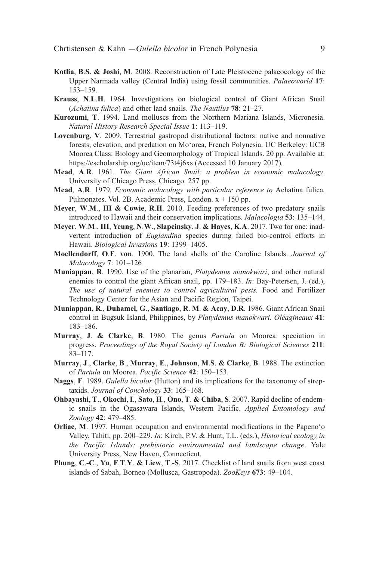- **Kotlia, B.S. & Joshi, M. 2008. Reconstruction of Late Pleistocene palaeocology of the** Upper Narmada valley (Central India) using fossil communities. *Palaeoworld* **17**: 153–159.
- **Krauss**, **N**.**L**.**H**. 1964. Investigations on biological control of Giant African Snail (*Achatina fulica*) and other land snails. *The Nautilus* **78**: 21–27.
- **Kurozumi**, **T**. 1994. land molluscs from the Northern Mariana Islands, Micronesia. *Natural History Research Special Issue* **1**: 113–119.
- **Lovenburg, V. 2009.** Terrestrial gastropod distributional factors: native and nonnative forests, elevation, and predation on Mo'orea, french Polynesia. UC Berkeley: UCB Moorea Class: Biology and Geomorphology of Tropical Islands. 20 pp. Available at: https://escholarship.org/uc/item/73t4j6xs (Accessed 10 January 2017)*.*
- **Mead**, **A**.**R**. 1961. *The Giant African Snail: a problem in economic malacology*. University of Chicago Press, Chicago. 257 pp.
- **Mead**, **A**.**R**. 1979. *Economic malacology with particular reference to* Achatina fulica*.* Pulmonates. Vol. 2B. Academic Press, London.  $x + 150$  pp.
- **Meyer**, **W**.**M**., **III & Cowie**, **R**.**H**. 2010. feeding preferences of two predatory snails introduced to hawaii and their conservation implications. *Malacologia* **53**: 135–144.
- **Meyer**, **W**.**M**., **III**, **Yeung**, **N**.**W**., **Slapcinsky**, **J**. **& Hayes**, **K**.**A**. 2017. two for one: inadvertent introduction of *Euglandina* species during failed bio-control efforts in hawaii. *Biological Invasions* **19**: 1399–1405.
- **Moellendorff**, **O**.**F**. **von**. 1900. the land shells of the Caroline Islands. *Journal of Malacology* **7**: 101–126
- **Muniappan**, **R**. 1990. Use of the planarian, *Platydemus manokwari*, and other natural enemies to control the giant African snail, pp. 179–183. *In*: Bay-Petersen, J. (ed.), *The use of natural enemies to control agricultural pests.* food and fertilizer Technology Center for the Asian and Pacific Region, Taipei.
- **Muniappan**, **R**., **Duhamel**, **G**., **Santiago**, **R**. **M**. **& Acay**, **D**.**R**. 1986. Giant African Snail control in Bugsuk Island, Philippines, by *Platydemus manokwari*. *Oléagineaux* **41**: 183–186.
- **Murray**, **J**. **& Clarke**, **B**. 1980. the genus *Partula* on Moorea: speciation in progress. *Proceedings of the Royal Society of London B: Biological Sciences* **211**: 83–117.
- **Murray**, **J**., **Clarke**, **B**., **Murray**, **E**., **Johnson**, **M**.**S**. **& Clarke**, **B**. 1988. the extinction of *Partula* on Moorea. *Pacific Science* **42**: 150–153.
- **Naggs**, **F**. 1989. *Gulella bicolor* (hutton) and its implications for the taxonomy of streptaxids. *Journal of Conchology* **33**: 165–168.
- **Ohbayashi**, **T**., **Okochi**, **I**., **Sato**, **H**., **Ono**, **T**. **& Chiba**, **S**. 2007. rapid decline of endemic snails in the Ogasawara Islands, Western Pacific. *Applied Entomology and Zoology* **42**: 479–485.
- **Orliac**, **M**. 1997. human occupation and environmental modifications in the Papeno'o Valley, tahiti, pp. 200–229. *In*: Kirch, P.V. & hunt, t.l. (eds.), *Historical ecology in the Pacific Islands: prehistoric environmental and landscape change*. Yale University Press, New haven, Connecticut.
- **Phung**, **C**.**-C**., **Yu**, **F**.**T**.**Y**. **& Liew**, **T**.**-S**. 2017. Checklist of land snails from west coast islands of Sabah, Borneo (Mollusca, Gastropoda). *ZooKeys* **673**: 49–104.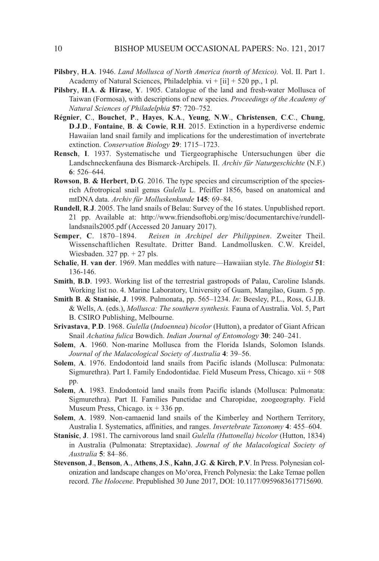- **Pilsbry**, **H**.**A**. 1946. *Land Mollusca of North America (north of Mexico).* Vol. II. Part 1. Academy of Natural Sciences, Philadelphia.  $vi + [ii] + 520$  pp., 1 pl.
- **Pilsbry**, **H**.**A**. **& Hirase**, **Y**. 1905. Catalogue of the land and fresh-water Mollusca of taiwan (formosa), with descriptions of new species. *Proceedings of the Academy of Natural Sciences of Philadelphia* **57**: 720–752.
- **Régnier**, **C**., **Bouchet**, **P**., **Hayes**, **K**.**A**., **Yeung**, **N**.**W**., **Christensen**, **C**.**C**., **Chung**, **D**.**J**.**D**., **Fontaine**, **B**. **& Cowie**, **R**.**H**. 2015. extinction in a hyperdiverse endemic hawaiian land snail family and implications for the underestimation of invertebrate extinction. *Conservation Biology* **29**: 1715–1723.
- **Rensch**, **I**. 1937. Systematische und tiergeographische Untersuchungen über die landschneckenfauna des Bismarck-Archipels. II. *Archiv für Naturgeschichte* (N.f.) **6**: 526–644.
- **Rowson**, **B**. **& Herbert**, **D**.**G**. 2016. the type species and circumscription of the speciesrich Afrotropical snail genus *Gulella* l. Pfeiffer 1856, based on anatomical and mtDNA data. *Archiv für Molluskenkunde* **145**: 69–84.
- **Rundell**, **R**.**J**. 2005. the land snails of Belau: Survey of the 16 states. Unpublished report. 21 pp. Available at: http://www.friendsoftobi.org/misc/documentarchive/rundelllandsnails2005.pdf (Accessed 20 January 2017).
- **Semper**, **C**. 1870–1894. *Reisen in Archipel der Philippinen*. Zweiter theil. Wissenschaftlichen Resultate. Dritter Band. Landmollusken. C.W. Kreidel, Wiesbaden. 327 pp. + 27 pls.
- **Schalie**, **H**. **van der**. 1969. Man meddles with nature—hawaiian style. *The Biologist* **51**: 136-146.
- **Smith**, **B**.**D**. 1993. Working list of the terrestrial gastropods of Palau, Caroline Islands. Working list no. 4. Marine laboratory, University of Guam, Mangilao, Guam. 5 pp.
- **Smith B. & Stanisic, J.** 1998. Pulmonata, pp. 565–1234. *In*: Beesley, P.L., Ross, G.J.B. & Wells, A. (eds.), *Mollusca: The southern synthesis.* fauna of Australia. Vol. 5, Part B. CSIRO Publishing, Melbourne.
- **Srivastava**, **P**.**D**. 1968. *Gulella* (*Indoennea*) *bicolor* (hutton), a predator of Giant African Snail *Achatina fulica* Bowdich. *Indian Journal of Entomology* **30**: 240–241.
- **Solem**, **A**. 1960. Non-marine Mollusca from the florida Islands, Solomon Islands. *Journal of the Malacological Society of Australia* **4**: 39–56.
- **Solem, A.** 1976. Endodontoid land snails from Pacific islands (Mollusca: Pulmonata: Sigmurethra). Part I. Family Endodontidae. Field Museum Press, Chicago.  $xii + 508$ pp.
- **Solem, A.** 1983. Endodontoid land snails from Pacific islands (Mollusca: Pulmonata: Sigmurethra). Part II. families Punctidae and Charopidae, zoogeography. field Museum Press, Chicago.  $ix + 336$  pp.
- **Solem, A.** 1989. Non-camaenid land snails of the Kimberley and Northern Territory, Australia I. Systematics, affinities, and ranges. *Invertebrate Taxonomy* **4**: 455–604.
- **Stanisic**, **J**. 1981. the carnivorous land snail *Gulella (Huttonella) bicolor* (hutton, 1834) in Australia (Pulmonata: Streptaxidae). *Journal of the Malacological Society of Australia* **5**: 84–86.
- **Stevenson**, **J**., **Benson**, **A**., **Athens**, **J**.**S**., **Kahn**, **J**.**G**. **& Kirch**, **P**.**V**. In Press. Polynesian colonization and landscape changes on Moʻorea, french Polynesia: the lake temae pollen record. *The Holocene*. Prepublished 30 June 2017, DOI: 10.1177/0959683617715690.